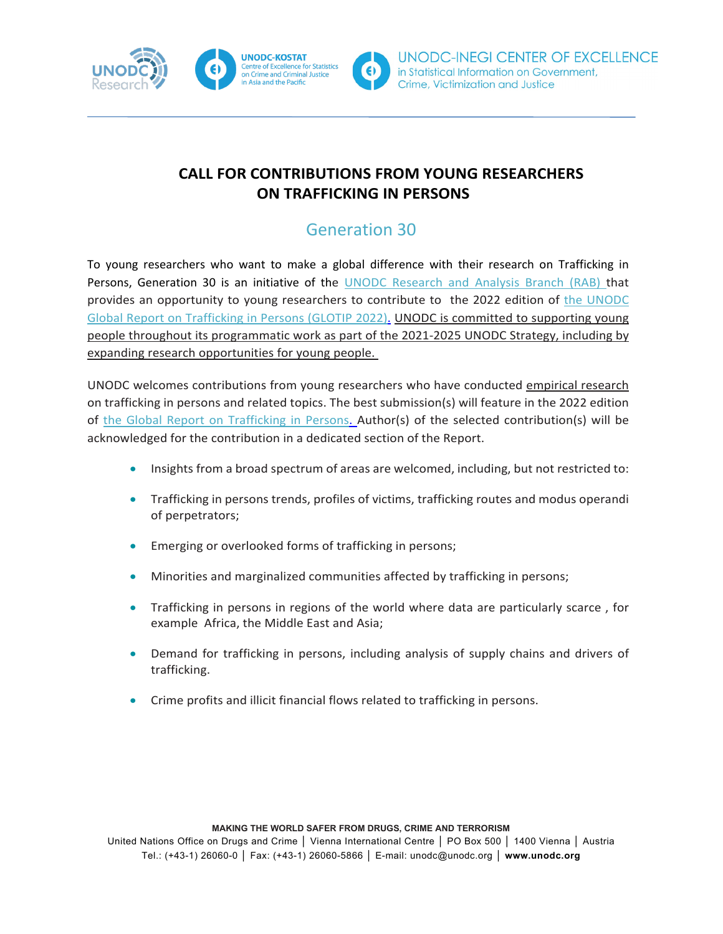

UNODC-INEGI CENTER OF EXCELLENCE in Statistical Information on Government, Crime, Victimization and Justice

#### **CALL FOR CONTRIBUTIONS FROM YOUNG RESEARCHERS ON TRAFFICKING IN PERSONS**

## Generation 30

To young researchers who want to make a global difference with their research on Trafficking in Persons, Generation 30 is an initiative of the [UNODC Research and Analysis Branch \(RAB\)](https://www.unodc.org/unodc/en/data-and-analysis/index.html) that provides an opportunity to young researchers to contribute to the 2022 edition of [the UNODC](https://www.unodc.org/unodc/data-and-analysis/glotip.html)  [Global Report on Trafficking in Persons](https://www.unodc.org/unodc/data-and-analysis/glotip.html) (GLOTIP 2022). UNODC is committed to supporting young people throughout its programmatic work as part of the 2021-2025 UNODC Strategy, including by expanding research opportunities for young people.

UNODC welcomes contributions from young researchers who have conducted empirical research on trafficking in persons and related topics. The best submission(s) will feature in the 2022 edition of [the Global Report on Trafficking in Persons.](https://www.unodc.org/unodc/data-and-analysis/glotip.html) Author(s) of the selected contribution(s) will be acknowledged for the contribution in a dedicated section of the Report.

- Insights from a broad spectrum of areas are welcomed, including, but not restricted to:
- Trafficking in persons trends, profiles of victims, trafficking routes and modus operandi of perpetrators;
- Emerging or overlooked forms of trafficking in persons;
- Minorities and marginalized communities affected by trafficking in persons;
- Trafficking in persons in regions of the world where data are particularly scarce , for example Africa, the Middle East and Asia;
- Demand for trafficking in persons, including analysis of supply chains and drivers of trafficking.
- Crime profits and illicit financial flows related to trafficking in persons.